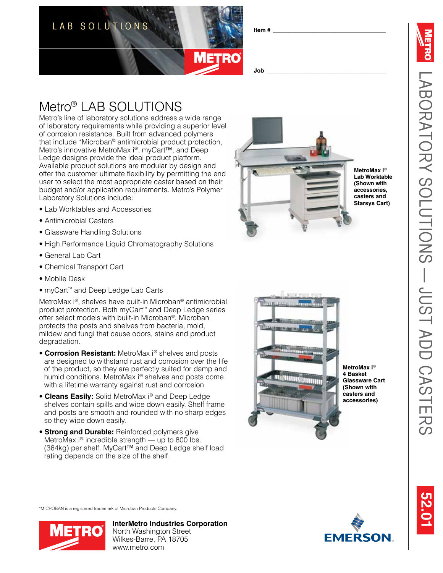

#### **Item # \_\_\_\_\_\_\_\_\_\_\_\_\_\_\_\_\_\_\_\_\_\_\_\_\_\_\_\_\_\_\_\_\_\_\_**

LABORATORY SOLUTIONS — Just

LABORATORY SOLUTIONS - JUST ADD CASTERS

add casters

9.01 **52.01**

#### **Job \_\_\_\_\_\_\_\_\_\_\_\_\_\_\_\_\_\_\_\_\_\_\_\_\_\_\_\_\_\_\_\_\_\_\_\_\_**

# Metro<sup>®</sup> LAB SOLUTIO

Metro's line of laboratory solutions address a wide range of laboratory requirements while providing a superior level of corrosion resistance. Built from advanced polymers that include \*Microban ® antimicrobial product protection, Metro's innovative MetroMax i®, myCart™, and Deep Ledge designs provide the ideal product platform. Available product solutions are modular by design and offer the customer ultimate flexibility by permitting the end user to select the most appropriate caster based on their budget and/or application requirements. Metro's Polymer Laboratory Solutions include:

- Lab Worktables and Accessories
- Antimicrobial Casters
- Glassware Handling Solutions
- High Performance Liquid Chromatography Solutions
- General Lab Cart
- Chemical Transport Cart
- Mobile Desk
- myCart ™ and Deep Ledge Lab Carts

MetroMax i ®, shelves have built-in Microban ® antimicrobial product protection. Both myCart ™ and Deep Ledge series offer select models with built-in Microban ®. Microban protects the posts and shelves from bacteria, mold, mildew and fungi that cause odors, stains and product degradation.

- **Corrosion Resistant:** MetroMax i<sup>®</sup> shelves and posts are designed to withstand rust and corrosion over the life of the product, so they are perfectly suited for damp and humid conditions. MetroMax i ® shelves and posts come with a lifetime warranty against rust and corrosion.
- **Cleans Easily:** Solid MetroMax i ® and Deep Ledge shelves contain spills and wipe down easily. Shelf frame and posts are smooth and rounded with no sharp edges so they wipe down easily.
- **Strong and Durable:** Reinforced polymers give MetroMax i<sup>®</sup> incredible strength — up to 800 lbs. (364kg) per shelf. MyCart™ and Deep Ledge shelf load rating depends on the size of the shelf.



**MetroMax i** ® **Lab Worktable (Shown with accessories, casters and Starsys Cart)**



**MetroMax i** ® **4 Basket Glassware Cart (Shown with casters and accessories)**

\*MICROBAN is a registered trademark of Microban Products Company.



**InterMetro Industries Corporation** North Washington Street Wilkes-Barre, PA 18705 www.metro.com

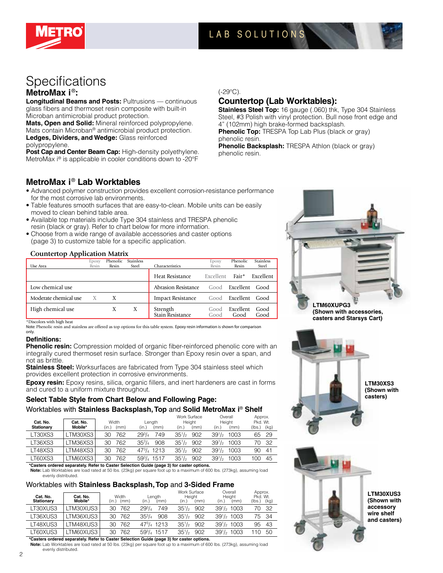

# LAB SOLUTIONS LAB SOLUTIONS

# Specifications **MetroMax i** ®**:**

**Longitudinal Beams and Posts: Pultrusions — continuous** glass fibers and thermoset resin composite with built-in Microban antimicrobial product protection.

**Mats, Open and Solid:** Mineral reinforced polypropylene. Mats contain Microban® antimicrobial product protection. **Ledges, Dividers, and Wedge:** Glass reinforced polypropylene.

**Post Cap and Center Beam Cap:** High-density polyethylene. MetroMax i® is applicable in cooler conditions down to -20°F

#### (-29°C).

# **Countertop (Lab Worktables):**

**Stainless Steel Top:** 16 gauge (.060) thk, Type 304 Stainless Steel, #3 Polish with vinyl protection. Bull nose front edge and 4" (102mm) high brake-formed backsplash. **Phenolic Top:** TRESPA Top Lab Plus (black or gray)

phenolic resin.

**Phenolic Backsplash:** TRESPA Athlon (black or gray) phenolic resin.

### **MetroMax i**® **Lab Worktables**

- Advanced polymer construction provides excellent corrosion-resistance performance for the most corrosive lab environments.
- Table features smooth surfaces that are easy-to-clean. Mobile units can be easily moved to clean behind table area.
- Available top materials include Type 304 stainless and TRESPA phenolic resin (black or gray). Refer to chart below for more information.
- Choose from a wide range of available accessories and caster options (page 3) to customize table for a specific application.

#### **Countertop Application Matrix**

|                       | Edoxy | Phenolic | <b>Stainless</b> |                              | Epoxy        | Phenolic              | <b>Stainless</b> |
|-----------------------|-------|----------|------------------|------------------------------|--------------|-----------------------|------------------|
| Use Area              | Resin | Resin    | Steel            | Characteristics              | Resin        | Resin                 | Steel            |
|                       |       |          |                  | Heat Resistance              | Excellent    | Fair*                 | Excellent        |
| Low chemical use      |       |          |                  | Abrasion Resistance          | Good         | Excellent             | Good             |
| Moderate chemical use | X     | X        |                  | <b>Impact Resistance</b>     |              | Good <b>Excellent</b> | Good             |
| High chemical use     |       | Χ        | Χ                | Strength<br>Stain Resistance | Good<br>Good | Excellent<br>Good     | Good<br>Good     |

\*Discolors with high heat

Note: Phenolic resin and stainless are offered as top options for this table system. Epoxy resin information is shown for comparison only.

#### **Definitions:**

**Phenolic resin:** Compression molded of organic fiber-reinforced phenolic core with an integrally cured thermoset resin surface. Stronger than Epoxy resin over a span, and not as brittle.

**Stainless Steel:** Worksurfaces are fabricated from Type 304 stainless steel which provides excellent protection in corrosive environments.

**Epoxy resin:** Epoxy resins, silica, organic fillers, and inert hardeners are cast in forms and cured to a uniform mixture throughout.

### **Select Table Style from Chart Below and Following Page:**

#### Worktables with **Stainless Backsplash, Top** and **Solid MetroMax i**® **Shelf**

| Cat. No.<br>Stationary | Cat. No.<br>Mobile* | Width<br>(mm)<br>(in.) | Length<br>(in.)<br>(mm) | Work Surface<br>Height<br>(in.)<br>(mm) | Overall<br>Height<br>(mm)<br>(in.) | Approx.<br>Pkd. Wt.<br>(kg)<br>(Ibs.) |
|------------------------|---------------------|------------------------|-------------------------|-----------------------------------------|------------------------------------|---------------------------------------|
| LT30XS3                | _TM30XS3 l          | 762<br>30              | $29^{3}/_{4}$<br>749    | $35^{1/2}$<br>902                       | $39^{1/2}$<br>1003                 | - 29<br>65                            |
| LT36XS3                | LTM36XS3            | 762<br>30              | $35^{3}/_{4}$<br>908    | $35\frac{1}{2}$<br>902                  | $39^{1/2}$<br>1003                 | - 32<br>70                            |
| LT48XS3                | _TM48XS3 l          | 762<br>30              | $47^{3}/_{4}$ 1213      | $35\frac{1}{2}$<br>902                  | $39^{1/2}$<br>1003                 | 41<br>90                              |
| LT60XS3                | TM60XS3             | 762<br>30              | 593/4 1517              | $35\frac{1}{2}$<br>902                  | 39 <sup>1</sup> /2<br>1003         | 45<br>100                             |

**\*Casters ordered separately. Refer to Caster Selection Guide (page 3) for caster options.**

**Note:** Lab Worktables are load rated at 50 lbs. (23kg) per square foot up to a maximum of 600 lbs. (273kg), assuming load evenly distributed.

#### Worktables with **Stainless Backsplash, Top** and **3-Sided Frame**

| Cat. No.<br><b>Stationary</b> | Cat. No.<br>Mobile*                                                                             | Width<br>(mm)<br>(in.) | Length<br>(mm)<br>(in.) | Work Surface<br>Height<br>(mm)<br>(in.) | Overall<br>Height<br>(mm)<br>(in.) | Approx.<br>Pkd. Wt.<br>(kq)<br>(Ibs.) |  |  |  |
|-------------------------------|-------------------------------------------------------------------------------------------------|------------------------|-------------------------|-----------------------------------------|------------------------------------|---------------------------------------|--|--|--|
| LT30XUS3                      | TM30XUS3                                                                                        | 30 762                 | $29^{3}/_{4}$<br>749    | $35\frac{1}{2}$<br>902                  | $39\frac{1}{2}$ 1003               | - 32<br>70.                           |  |  |  |
| LT36XUS3                      | _TM36XUS3                                                                                       | 30 762                 | $35^{3}/_{4}$<br>908    | $35\frac{1}{2}$<br>902                  | $39\frac{1}{2}$ 1003               | 7534                                  |  |  |  |
| LT48XUS3                      | TM48XUS3                                                                                        | 30 762                 | $47^{3}/_{4}$ 1213      | $35\frac{1}{2}$<br>902                  | $39\frac{1}{2}$ 1003               | -43<br>95                             |  |  |  |
| LT60XUS3                      | TM60XUS3                                                                                        | 762<br>30.             | 593/4 1517              | $35\frac{1}{2}$<br>902                  | $39\frac{1}{2}$ 1003               | 50                                    |  |  |  |
|                               | tAcction codenced concertable Batantic Acction Activities Andels for an AV for continuously are |                        |                         |                                         |                                    |                                       |  |  |  |

**\*Casters ordered separately. Refer to Caster Selection Guide (page 3) for caster options. Note:** Lab Worktables are load rated at 50 lbs. (23kg) per square foot up to a maximum of 600 lbs. (273kg), assuming load evenly distributed.



**(Shown with accessory wire shelf and casters)**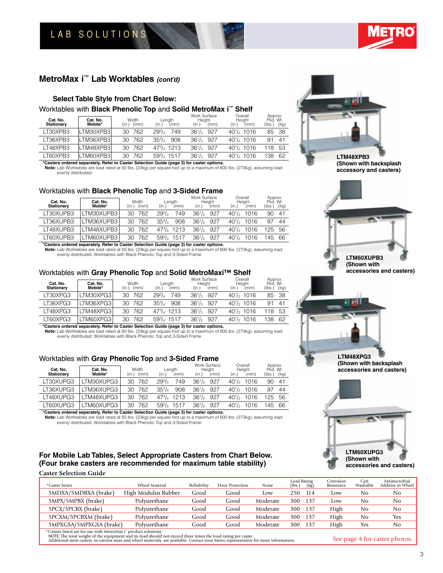LAB SOLUTIONS

### **MetroMax i**™ **Lab Worktables** *(cont'd)*

#### **Select Table Style from Chart Below:**

#### Worktables with **Black Phenolic Top** and **Solid MetroMax i**™ **Shelf**

| Cat. No.<br><b>Stationary</b> | Cat. No.<br>Mobile* | Width<br>(mm)<br>(in.) | Length<br>(mm)<br>(in.) | Work Surface<br>Height<br>(mm)<br>(in.) | Overall<br>Height<br>(in.)<br>(mm) | Approx.<br>Pkd. Wt.<br>(lbs.)<br>(kg) |
|-------------------------------|---------------------|------------------------|-------------------------|-----------------------------------------|------------------------------------|---------------------------------------|
| LT30XPB3                      | LTM30XPB3I          | 762<br>30              | $29^{3}/_{4}$<br>749    | $36^{1/2}$<br>927                       | $40\frac{1}{2}$ 1016               | 38<br>85                              |
| LT36XPB3                      | LTM36XPB3I          | 762<br>30              | $35^{3}/_{4}$<br>908    | $36^{1/2}$<br>927                       | $40\frac{1}{2}$ 1016               | 91<br>41                              |
| LT48XPB3                      | LTM48XPB3           | 762<br>30              | $47^{3}/_{4}$ 1213      | $36^{1/2}$<br>927                       | $40\frac{1}{2}$ 1016               | 53<br>18                              |
| LT60XPB3                      | LTM60XPB3l          | 762<br>30              | 593/4 1517              | $36^{1/2}$<br>927                       | $40\frac{1}{2}$ 1016               | 38<br>62                              |

**\*Casters ordered separately. Refer to Caster Selection Guide (page 3) for caster options.**

**Note:** Lab Worktables are load rated at 50 lbs. (23kg) per square foot up to a maximum of 600 lbs. (273kg), assuming load evenly distributed.

#### Worktables with **Black Phenolic Top** and **3-Sided Frame**

| Cat. No.<br><b>Stationary</b> | Cat. No.<br>Mobile* | Width<br>(mm)<br>(in.) | Length<br>(mm)<br>(in.) | Work Surface<br>Height<br>(in.)<br>(mm) | Overall<br>Height<br>(in.)<br>(mm) | Approx.<br>Pkd. Wt.<br>(lbs.)<br>(kg) |
|-------------------------------|---------------------|------------------------|-------------------------|-----------------------------------------|------------------------------------|---------------------------------------|
| LT30XUPB3                     | TM30XUPB3           | 762<br>30              | $29^{3}/_{4}$<br>749    | $36^{1/2}$<br>927                       | $40^{1/2}$<br>1016                 | 90<br>41                              |
| LT36XUPB3                     | TM36XUPB3           | 762<br>30              | $35^{3}/_{4}$<br>908    | $36^{1/2}$<br>927                       | $40^{1/2}$<br>1016                 | 97<br>44                              |
| LT48XUPB3                     | TM48XUPB3           | 762<br>30              | $47^{3}/_{4}$<br>1213   | $36^{1/2}$<br>927                       | $40^{1/2}$<br>1016                 | 25<br>56                              |
| T60XUPB3                      | TM60XUPB3           | 762<br>30              | $59^{3}/_{4}$<br>1517   | $36^{1/2}$<br>927                       | $40^{1/2}$<br>1016                 | 45<br>66                              |

**\*Casters ordered separately. Refer to Caster Selection Guide (page 3) for caster options. Note:** Lab Worktables are load rated at 50 lbs. (23kg) per square foot up to a maximum of 600 lbs. (273kg), assuming load evenly distributed. Worktables with Black Phenolic Top and 3-Sided Frame

#### Worktables with **Gray Phenolic Top** and **Solid MetroMaxi™ Shelf**

| Cat. No.<br><b>Stationary</b> | Cat. No.<br>Mobile* | Width<br>(mm)<br>(in.) | Length<br>(mm)<br>(in.) | Work Surface<br>Height<br>(mm)<br>(in.) | Overall<br>Height<br>(in.)<br>(mm) | Approx.<br>Pkd. Wt.<br>(kq)<br>(lbs.) |
|-------------------------------|---------------------|------------------------|-------------------------|-----------------------------------------|------------------------------------|---------------------------------------|
| LT30XPG3                      | LTM30XPG31          | 762<br>30              | $29^{3}/_{4}$<br>749    | $36^{1/2}$<br>927                       | $40\frac{1}{2}$ 1016               | -38<br>85                             |
| LT36XPG3                      | LTM36XPG31          | 762<br>30              | $35^{3}/_{4}$<br>908    | $36^{1/2}$<br>927                       | $40\frac{1}{2}$ 1016               | 41<br>91                              |
| LT48XPG3                      | LTM48XPG31          | 762<br>30              | $47^{3}/_{4}$ 1213      | $36^{1/2}$<br>927                       | $40\frac{1}{2}$ 1016               | 53<br>118                             |
| LT60XPG3                      | LTM60XPG31          | 762<br>30              | $59^{3}/_{4}$ 1517      | $36^{1/2}$<br>927                       | $40\frac{1}{2}$ 1016               | 138<br>62                             |

**\*Casters ordered separately. Refer to Caster Selection Guide (page 3) for caster options.**

**Note:** Lab Worktables are load rated at 50 lbs. (23kg) per square foot up to a maximum of 600 lbs. (273kg), assuming load evenly distributed. Worktables with Black Phenolic Top and 3-Sided Frame

#### Worktables with **Gray Phenolic Top** and **3-Sided Frame**

| Cat. No.<br><b>Stationary</b> | Cat. No.<br>Mobile* | Width<br>(mm)<br>(in.) | Length<br>(mm)<br>(in.) | Work Surface<br>Height<br>(in.)<br>(mm) | Overall<br>Height<br>(mm)<br>(in.) | Approx.<br>Pkd. Wt.<br>(lbs.)<br>(kq) |
|-------------------------------|---------------------|------------------------|-------------------------|-----------------------------------------|------------------------------------|---------------------------------------|
| LT30XUPG3                     | TM30XUPG3           | 762<br>30              | $29^{3}/_{4}$<br>749    | $36^{1/2}$<br>927                       | $40^{1/2}$<br>1016                 | 90<br>41                              |
| LT36XUPG3                     | TM36XUPG3           | 30<br>762              | $35^{3}/_{4}$<br>908    | $36^{1/2}$<br>927                       | $40^{1/2}$<br>1016                 | 44<br>97                              |
| LT48XUPG3                     | TM48XUPG3           | 762<br>30              | $47^{3}/_{4}$<br>1213   | $36^{1/2}$<br>927                       | $40^{1/2}$<br>1016                 | 56<br>125                             |
| LT60XUPG3                     | TM60XUPG3           | 762<br>30              | $59^{3}/_{4}$<br>1517   | $36^{1/2}$<br>927                       | $40^{1/2}$<br>1016                 | 66<br>45                              |
|                               |                     |                        |                         |                                         |                                    |                                       |

**\*Casters ordered separately. Refer to Caster Selection Guide (page 3) for caster options. Note:** Lab Worktables are load rated at 50 lbs. (23kg) per square foot up to a maximum of 600 lbs. (273kg), assuming load evenly distributed. Worktables with Black Phenolic Top and 3-Sided Frame

### **For Mobile Lab Tables, Select Appropriate Casters from Chart Below. (Four brake casters are recommended for maximum table stability)**

#### **Caster Selection Guide**

| *Caster Series                                                                                                                                                                   | Wheel Material      | Rollability | <b>Floor Protection</b> | Noise    | Load Rating<br>(kg)<br>(lbs.) | Corrosion<br>Resistance | Cart<br>Washable | Antimicrobial<br>Additive in Wheel |
|----------------------------------------------------------------------------------------------------------------------------------------------------------------------------------|---------------------|-------------|-------------------------|----------|-------------------------------|-------------------------|------------------|------------------------------------|
| 5MDXA/5MDBXA (brake)                                                                                                                                                             | High Modulus Rubber | Good        | Good                    | Low      | 250<br>114                    | Low                     | No               | No                                 |
| 5MPX/5MPBX (brake)                                                                                                                                                               | Polvurethane        | Good        | Good                    | Moderate | 300<br>137                    | Low                     | No               | No                                 |
| 5PCX/5PCBX (brake)                                                                                                                                                               | Polvurethane        | Good        | Good                    | Moderate | 300<br>137                    | High                    | No               | No                                 |
| 5PCXM/5PCBXM (brake)                                                                                                                                                             | Polvurethane        | Good        | Good                    | Moderate | 300<br>137                    | High                    | No               | Yes                                |
| 5MPXGSA/5MPXGSA (brake)                                                                                                                                                          | Polvurethane        | Good        | Good                    | Moderate | 300<br>137                    | High                    | Yes              | No                                 |
| *Casters listed are for use with MetroMax i" product solutions.<br>NOTE: The total woight of the equipment and its load should not exceed three times the load rating per caster |                     |             |                         |          |                               |                         |                  |                                    |

NOTE: The total weight of the equipment and its load should not exceed three times the load rating per caster.<br>Additional stem casters, in various sizes and wheel materials, are available. Contact your Metro representative



**LTM48XPB3**

**(Shown with backsplash accessory and casters)**

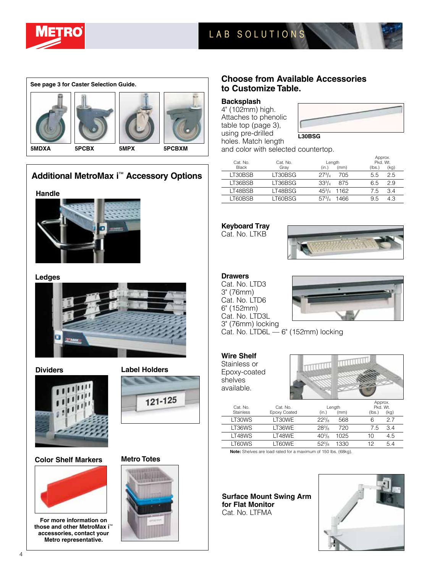

# LAB SOLUTIONS LAB SOLUTIONS



# **Additional MetroMax i**™ **Accessory Options**

**Handle**



#### **Ledges**





**Color Shelf Markers Metro Totes**



**For more information on those and other MetroMax i**™ **accessories, contact your Metro representative.**





### **Choose from Available Accessories to Customize Table.**

#### **Backsplash**

4" (102mm) high. Attaches to phenolic table top (page 3), using pre-drilled holes. Match length



and color with selected countertop.

| Cat. No.     | Cat. No. | Length                | Approx.<br>Pkd. Wt. |  |  |
|--------------|----------|-----------------------|---------------------|--|--|
| <b>Black</b> | Gray     | (mm)<br>(in.)         | (lbs.)<br>(kg)      |  |  |
| LT30BSB      | LT30BSG  | $27^{3}/_{4}$<br>705  | 2.5<br>5.5          |  |  |
| LT36BSB      | LT36BSG  | $33^{3}/_{4}$<br>875  | 2.9<br>6.5          |  |  |
| LT48BSB      | LT48BSG  | $45^{3}/_{4}$<br>1162 | 3.4<br>7.5          |  |  |
| LT60BSB      | .T60BSG  | 1466                  | 4.3<br>9.5          |  |  |

# **Keyboard Tray**

Cat. No. LTKB



## **Drawers**

Cat. No. LTD3 3" (76mm) Cat. No. LTD6 6" (152mm) Cat. No. LTD3L 3" (76mm) locking



Cat. No. LTD6L — 6" (152mm) locking

### **Wire Shelf**

Stainless or Epoxy-coated shelves available.



| Cat. No.         | Cat. No.     |               | Length | Approx.<br>Pkd. Wt. |
|------------------|--------------|---------------|--------|---------------------|
| <b>Stainless</b> | Epoxy Coated | (in.)         | (mm)   | (kg)<br>(lbs.)      |
| LT30WS           | LT30WE       | $22^{3}/_{8}$ | 568    | 27<br>6             |
| LT36WS           | LT36WE       | $28^{3}/_{8}$ | 720    | 3.4<br>7.5          |
| LT48WS           | LT48WE       | $40^{3}/_{8}$ | 1025   | 4.5<br>10           |
| LT60WS           | LT60WE       | $52^{3}/_{8}$ | 1330   | 12<br>5.4           |
|                  |              |               |        |                     |

**Note:** Shelves are load rated for a maximum of 150 lbs. (68kg).

**Surface Mount Swing Arm for Flat Monitor** Cat. No. LTFMA

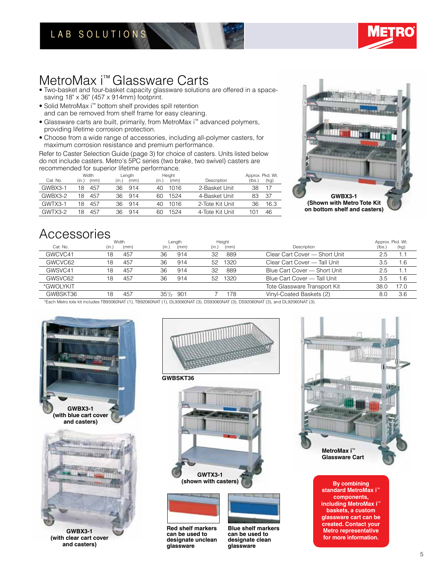# LAB SOLUTIONS



# MetroMax i™ Glassware Carts

• Two-basket and four-basket capacity glassware solutions are offered in a spacesaving 18" x 36" (457 x 914mm) footprint.

- Solid MetroMax i™ bottom shelf provides spill retention and can be removed from shelf frame for easy cleaning.
- Glassware carts are built, primarily, from MetroMax i™ advanced polymers, providing lifetime corrosion protection.
- Choose from a wide range of accessories, including all-polymer casters, for maximum corrosion resistance and premium performance.

Refer to Caster Selection Guide (page 3) for choice of casters. Units listed below do not include casters. Metro's 5PC series (two brake, two swivel) casters are recommended for superior lifetime performance.

|          | Width         | Length        | Height        |                 | Approx. Pkd. Wt. |
|----------|---------------|---------------|---------------|-----------------|------------------|
| Cat. No. | (mm)<br>(in.) | (mm)<br>(in.) | (mm)<br>(in.) | Description     | (lbs.)<br>(kg)   |
| GWBX3-1  | 457<br>18     | 36<br>914     | 40.<br>1016   | 2-Basket Unit   | 38               |
| GWBX3-2  | 457<br>18     | 36<br>914     | 1524<br>60    | 4-Basket Unit   | -37              |
| GWTX3-1  | 18<br>457     | 36<br>914     | 40.<br>1016   | 2-Tote Kit Unit | 36<br>16.3       |
| GWTX3-2  | 457<br>18     | 36<br>914     | 1524<br>60    | 4-Tote Kit Unit | 46<br>101        |



# Accessories

| Cat. No.  | Width<br>(mm)<br>(in., | Length<br>(mm)<br>(in.) | Height<br>(in.)<br>(mm) | Description                   | Approx. Pkd. Wt.<br>(lbs.) | (kg) |
|-----------|------------------------|-------------------------|-------------------------|-------------------------------|----------------------------|------|
| GWCVC41   | 457<br>18              | 36<br>914               | 889<br>32               | Clear Cart Cover - Short Unit | 2.5                        | 1.1  |
| GWCVC62   | 457<br>18              | 36<br>914               | 1320<br>52              | Clear Cart Cover - Tall Unit  | 3.5                        | 1.6  |
| GWSVC41   | 457<br>18              | 36<br>914               | 32<br>889               | Blue Cart Cover - Short Unit  | 2.5                        | 1.1  |
| GWSVC62   | 457<br>18              | 36<br>914               | 1320<br>52              | Blue Cart Cover - Tall Unit   | 3.5                        | 1.6  |
| *GWOLYKIT |                        |                         |                         | Tote Glassware Transport Kit  | 38.0                       | 17.0 |
| GWBSKT36  | 457<br>18              | $35\frac{1}{2}$ 901     | 178                     | Vinyl-Coated Baskets (2)      | 8.0                        | 3.6  |

\*Each Metro tote kit includes TB93060NAT (1), TB92060NAT (1), DL93060NAT (3), DS93060NAT (3), DS92060NAT (3), and DL92060NAT (3).





**GWBSKT36**







**Red shelf markers can be used to designate unclean glassware**





**By combining standard MetroMax i**™ **components, including MetroMax i**™ **baskets, a custom glassware cart can be created. Contact your Metro representative for more information.**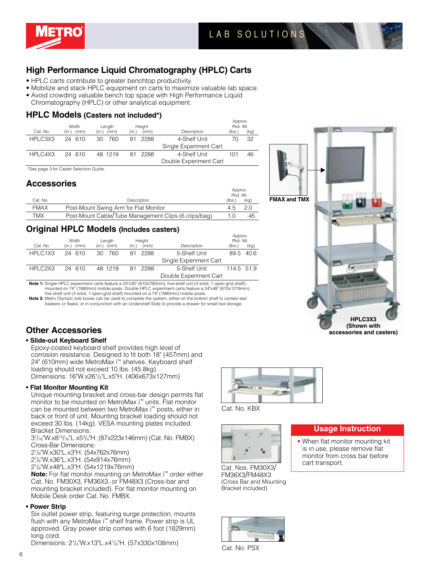

# **High Performance Liquid Chromatography (HPLC) Carts**

- HPLC carts contribute to greater benchtop productivity.
- Mobilize and stack HPLC equipment on carts to maximize valuable lab space. • Avoid crowding valuable bench top space with High Performance Liquid
- Chromatography (HPLC) or other analytical equipment.

#### **HPLC Models (Casters not included\*)**

|          | Width      | Length        | Height                 |                        | <b>RUPION.</b><br>Pkd. Wt. |      |
|----------|------------|---------------|------------------------|------------------------|----------------------------|------|
| Cat. No. | (in.) (mm) | (in.)<br>(mm) | (mm)<br>(in.)          | Description            | (lbs.)                     | (kg) |
| HPLC3X3  | 24 610     | 760<br>30     | 2288<br>81             | 4-Shelf Unit           | 70                         | 32   |
|          |            |               |                        | Single Experiment Cart |                            |      |
| HPLC4X3  | 24 610     | 48 1219       | 81 2288                | 4-Shelf Unit           | 101                        | 46   |
|          |            |               | Double Experiment Cart |                        |                            |      |

\*See page 3 for Caster Selection Guide.

### **Accessories**

|             |                                                      |        | Approx.<br>Pkd. Wt. |  |  |
|-------------|------------------------------------------------------|--------|---------------------|--|--|
| Cat. No.    | Description                                          | (Ibs.) | (kg)                |  |  |
| <b>FMAX</b> | Post-Mount Swing Arm for Flat Monitor                | 4.5    | 20                  |  |  |
| TMX         | Post-Mount Cable/Tube Management Clips (6 clips/bag) | 1.0    | .45                 |  |  |

### **Original HPLC Models (Includes casters)**

|                     | Width        | Length        | Height        |                        | Approx.<br>Pkd. Wt. |      |
|---------------------|--------------|---------------|---------------|------------------------|---------------------|------|
| Cat. No.            | $(in.)$ (mm) | (in.)<br>(mm) | (mm)<br>(in.) | Description            | (lbs.)              | (kg) |
| HPLC1X3             | 24 610       | 760<br>30.    | 81 2288       | 5-Shelf Unit           | 89.5                | 40.6 |
|                     |              |               |               | Single Experiment Cart |                     |      |
| HPLC <sub>2X3</sub> | 24 610       | 48 1219       | 81 2288       | 5-Shelf Unit           | 114.5 51.9          |      |
|                     |              |               |               | Double Experiment Cart |                     |      |

**Note 1:** Single HPLC experiment carts feature a 24"x30" (610x760mm), five-shelf unit (4 solid, 1 open-grid shelf), mounted on 74" (1880mm) mobile posts. Double HPLC experiment carts feature a 24"x48" (610x1219mm), five-shelf unit (4 solid, 1 open-grid shelf) mounted on a 74" (1880mm) mobile posts.

**Note 2:** Metro Olympic tote boxes can be used to complete the system, either on the bottom shelf to contain test beakers or flasks, or in conjunction with an Undershelf Slide to provide a drawer for small tool storage.

#### **• Slide-out Keyboard Shelf**

Epoxy-coated keyboard shelf provides high level of corrosion resistance. Designed to fit both 18" (457mm) and 24" (610mm) wide MetroMax i™ shelves. Keyboard shelf loading should not exceed 10 lbs. (45.8kg). Dimensions: 16"W.x261 /2"L.x5"H. (406x673x127mm)

#### **• Flat Monitor Mounting Kit**

Unique mounting bracket and cross-bar design permits flat monitor to be mounted on MetroMax i™ units. Flat monitor can be mounted between two MetroMax i™ posts, either in back or front of unit. Mounting bracket loading should not exceed 30 lbs. (14kg). VESA mounting plates included. Bracket Dimensions:

37 /16"W.x813/16"L.x53 /4"H. (87x223x146mm) (Cat. No. FMBX) Cross-Bar Dimensions:

21 /8"W.x30"L.x3"H. (54x762x76mm)

21 /8"W.x36"L.x3"H. (54x914x76mm)

21 /8"W.x48"L.x3"H. (54x1219x76mm)

**Note:** For flat monitor mounting on MetroMax i™ order either Cat. No. FM30X3, FM36X3, or FM48X3 (Cross-bar and mounting bracket included). For flat monitor mounting on Mobile Desk order Cat. No. FMBX.

#### **• Power Strip**

Six outlet power strip, featuring surge protection, mounts flush with any MetroMax i™ shelf frame. Power strip is UL approved. Gray power strip comes with 6 foot (1829mm) long cord.

Dimensions: 2<sup>1</sup>/<sub>4</sub>"W.x13"L.x4<sup>1</sup>/<sub>4</sub>"H. (57x330x108mm)





Cat. Nos. FM30X3/ FM36X3/FM48X3 (Cross Bar and Mounting Bracket included)







Cat. No. KBX

• When flat monitor mounting kit is in use, please remove flat monitor from cross bar before cart transport.

**Usage Instruction**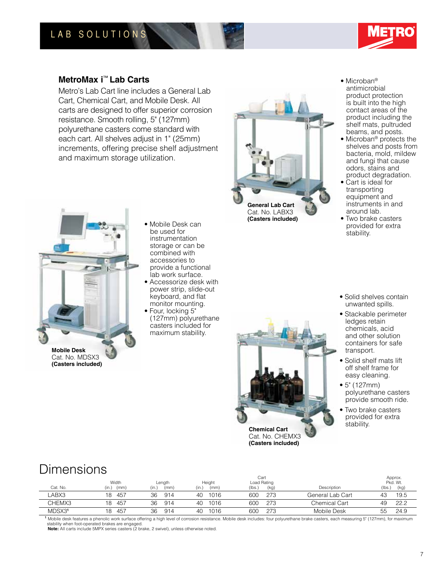

# **MetroMax i**™ **Lab Carts**

Metro's Lab Cart line includes a General Lab Cart, Chemical Cart, and Mobile Desk. All carts are designed to offer superior corrosion resistance. Smooth rolling, 5" (127mm) polyurethane casters come standard with each cart. All shelves adjust in 1" (25mm) increments, offering precise shelf adjustment and maximum storage utilization.



Cat. No. MDSX3 **(Casters included)**

- Mobile Desk can be used for instrumentation storage or can be combined with accessories to provide a functional lab work surface.
- Accessorize desk with power strip, slide-out keyboard, and flat monitor mounting.
- Four, locking 5" (127mm) polyurethane casters included for maximum stability.



Cat. No. LABX3 **(Casters included)**

**Chemical Cart** Cat. No. CHEMX3 **(Casters included)**

- Microban<sup>®</sup> antimicrobial product protection is built into the high contact areas of the product including the shelf mats, pultruded beams, and posts.
- Microban<sup>®</sup> protects the shelves and posts from bacteria, mold, mildew and fungi that cause odors, stains and product degradation.
- Cart is ideal for transporting equipment and instruments in and around lab.
- Two brake casters provided for extra stability.
- Solid shelves contain unwanted spills.
- Stackable perimeter ledges retain chemicals, acid and other solution containers for safe transport.
- Solid shelf mats lift off shelf frame for easy cleaning.
- 5" (127mm) polyurethane casters provide smooth ride.
- Two brake casters provided for extra stability.

# Dimensions

|          | Width         | Length        | Height        | Cart<br>Load Rating |                      | Approx.<br>Pkd. Wt. |
|----------|---------------|---------------|---------------|---------------------|----------------------|---------------------|
| Cat. No. | (in.)<br>(mm) | (in.)<br>(mm) | (in.)<br>(mm) | (lbs.)<br>(kg)      | Description          | (lbs.)<br>(kg)      |
| ABX3     | 457<br>18     | 36<br>914     | 1016<br>40    | 273<br>600          | General Lab Cart     | 19.5<br>43          |
| CHEMX3   | 457<br>18     | 36<br>914     | 1016<br>40    | 273<br>600          | <b>Chemical Cart</b> | 22.2<br>49          |
| MDSX31   | 457<br>18     | 36<br>914     | 1016<br>40    | 273<br>60C          | Mobile Desk          | 55<br>24.9          |

**<sup>1</sup>**Mobile desk features a phenolic work surface offering a high level of corrosion resistance. Mobile desk includes: four polyurethane brake casters, each measuring 5" (127mm), for maximum stability when foot-operated brakes are engaged.

**Note:** All carts include 5MPX series casters (2 brake, 2 swivel), unless otherwise noted.